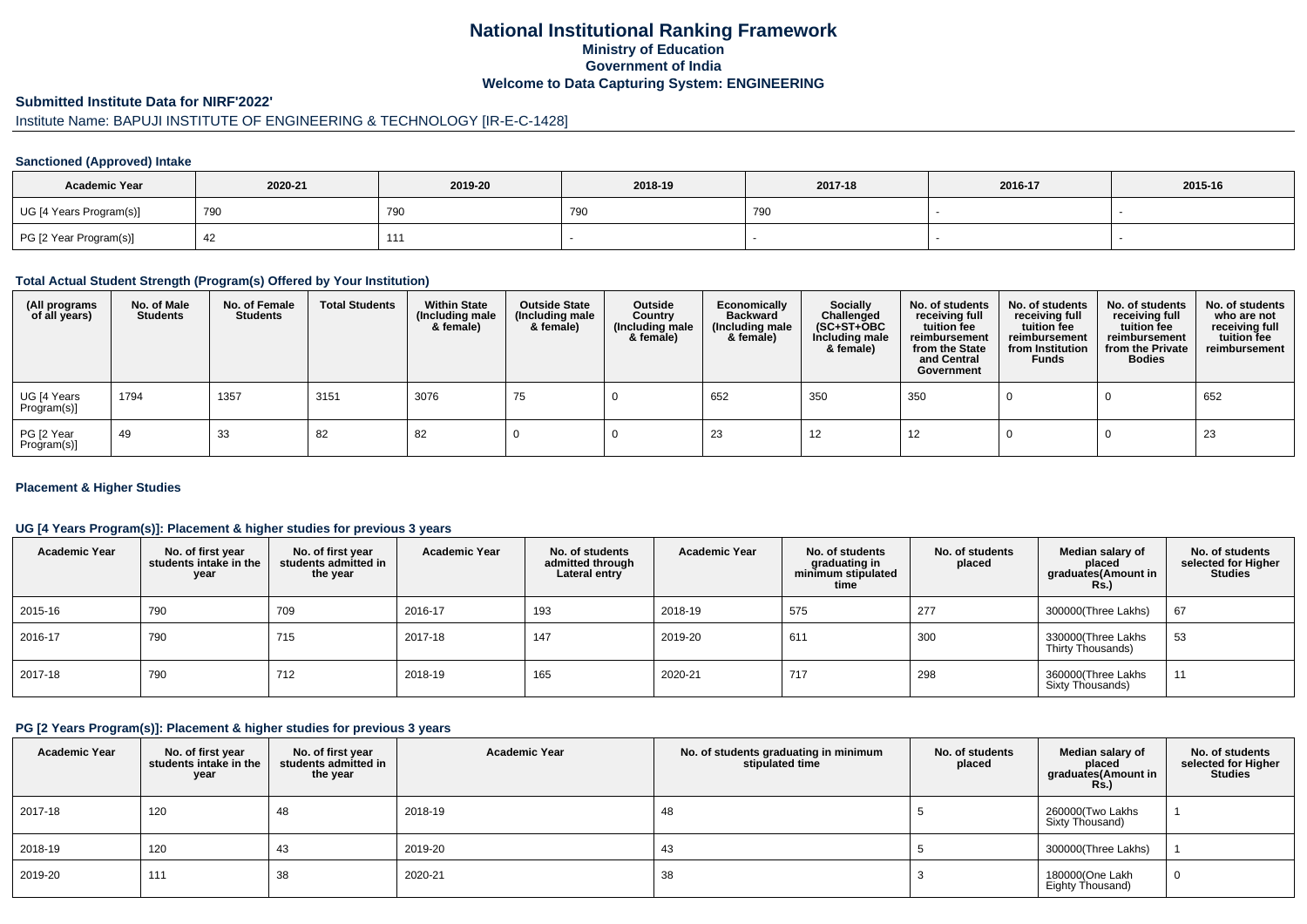## **National Institutional Ranking FrameworkMinistry of Education Government of IndiaWelcome to Data Capturing System: ENGINEERING**

#### **Submitted Institute Data for NIRF'2022'**

# Institute Name: BAPUJI INSTITUTE OF ENGINEERING & TECHNOLOGY [IR-E-C-1428]

#### **Sanctioned (Approved) Intake**

| <b>Academic Year</b>    | 2020-21 | 2019-20 | 2018-19 | 2017-18 | 2016-17 | 2015-16 |
|-------------------------|---------|---------|---------|---------|---------|---------|
| UG [4 Years Program(s)] | 790     | 790     | 790     | 790     |         |         |
| PG [2 Year Program(s)]  |         | 111     |         |         |         |         |

#### **Total Actual Student Strength (Program(s) Offered by Your Institution)**

| (All programs<br>of all years) | No. of Male<br><b>Students</b> | No. of Female<br>Students | <b>Total Students</b> | <b>Within State</b><br>(Including male<br>& female) | <b>Outside State</b><br>(Including male<br>& female) | Outside<br>Country<br>(Including male<br>& female) | Economically<br><b>Backward</b><br>(Including male<br>& female) | <b>Socially</b><br>Challenged<br>$(SC+ST+OBC)$<br>Including male<br>& female) | No. of students<br>receiving full<br>tuition fee<br>reimbursement<br>from the State<br>and Central<br>Government | No. of students<br>receiving full<br>tuition fee<br>reimbursement<br>from Institution<br><b>Funds</b> | No. of students<br>receiving full<br>tuition fee<br>reimbursement<br>from the Private<br><b>Bodies</b> | No. of students<br>who are not<br>receiving full<br>tuition fee<br>reimbursement |
|--------------------------------|--------------------------------|---------------------------|-----------------------|-----------------------------------------------------|------------------------------------------------------|----------------------------------------------------|-----------------------------------------------------------------|-------------------------------------------------------------------------------|------------------------------------------------------------------------------------------------------------------|-------------------------------------------------------------------------------------------------------|--------------------------------------------------------------------------------------------------------|----------------------------------------------------------------------------------|
| UG [4 Years<br>Program(s)]     | 1794                           | 1357                      | 3151                  | 3076                                                | 75                                                   |                                                    | 652                                                             | 350                                                                           | 350                                                                                                              |                                                                                                       |                                                                                                        | 652                                                                              |
| PG [2 Year<br>Program(s)]      | 49                             | 33                        | 82                    | 82                                                  |                                                      |                                                    | 23                                                              | 12                                                                            | 12                                                                                                               |                                                                                                       |                                                                                                        | 23                                                                               |

#### **Placement & Higher Studies**

#### **UG [4 Years Program(s)]: Placement & higher studies for previous 3 years**

| <b>Academic Year</b> | No. of first year<br>students intake in the<br>year | No. of first vear<br>students admitted in<br>the year | <b>Academic Year</b> | No. of students<br>admitted through<br>Lateral entry | <b>Academic Year</b> | No. of students<br>graduating in<br>minimum stipulated<br>time | No. of students<br>placed | Median salary of<br>placed<br>graduates(Amount in<br>Rs. | No. of students<br>selected for Higher<br><b>Studies</b> |
|----------------------|-----------------------------------------------------|-------------------------------------------------------|----------------------|------------------------------------------------------|----------------------|----------------------------------------------------------------|---------------------------|----------------------------------------------------------|----------------------------------------------------------|
| 2015-16              | 790                                                 | 709                                                   | 2016-17              | 193                                                  | 2018-19              | 575                                                            | 277                       | 300000(Three Lakhs)                                      | 67                                                       |
| 2016-17              | 790                                                 | 715                                                   | 2017-18              | 147                                                  | 2019-20              | 611                                                            | 300                       | 330000(Three Lakhs<br>Thirty Thousands)                  | 53                                                       |
| 2017-18              | 790                                                 | 712                                                   | 2018-19              | 165                                                  | 2020-21              | 717                                                            | 298                       | 360000(Three Lakhs<br>Sixty Thousands)                   | 11                                                       |

#### **PG [2 Years Program(s)]: Placement & higher studies for previous 3 years**

| <b>Academic Year</b> | No. of first year<br>students intake in the<br>year | No. of first year<br>students admitted in<br>the year | <b>Academic Year</b> | No. of students graduating in minimum<br>stipulated time | No. of students<br>placed | Median salary of<br>placed<br>graduates(Amount in<br>Rs.) | No. of students<br>selected for Higher<br><b>Studies</b> |
|----------------------|-----------------------------------------------------|-------------------------------------------------------|----------------------|----------------------------------------------------------|---------------------------|-----------------------------------------------------------|----------------------------------------------------------|
| 2017-18              | 120                                                 | -48                                                   | 2018-19              | 48                                                       |                           | 260000(Two Lakhs<br>Sixty Thousand)                       |                                                          |
| 2018-19              | 120                                                 | -43                                                   | 2019-20              | 43                                                       |                           | 300000(Three Lakhs)                                       |                                                          |
| 2019-20              | 111                                                 | 38                                                    | 2020-21              | 38                                                       |                           | 180000(One Lakh<br>Eighty Thousand)                       |                                                          |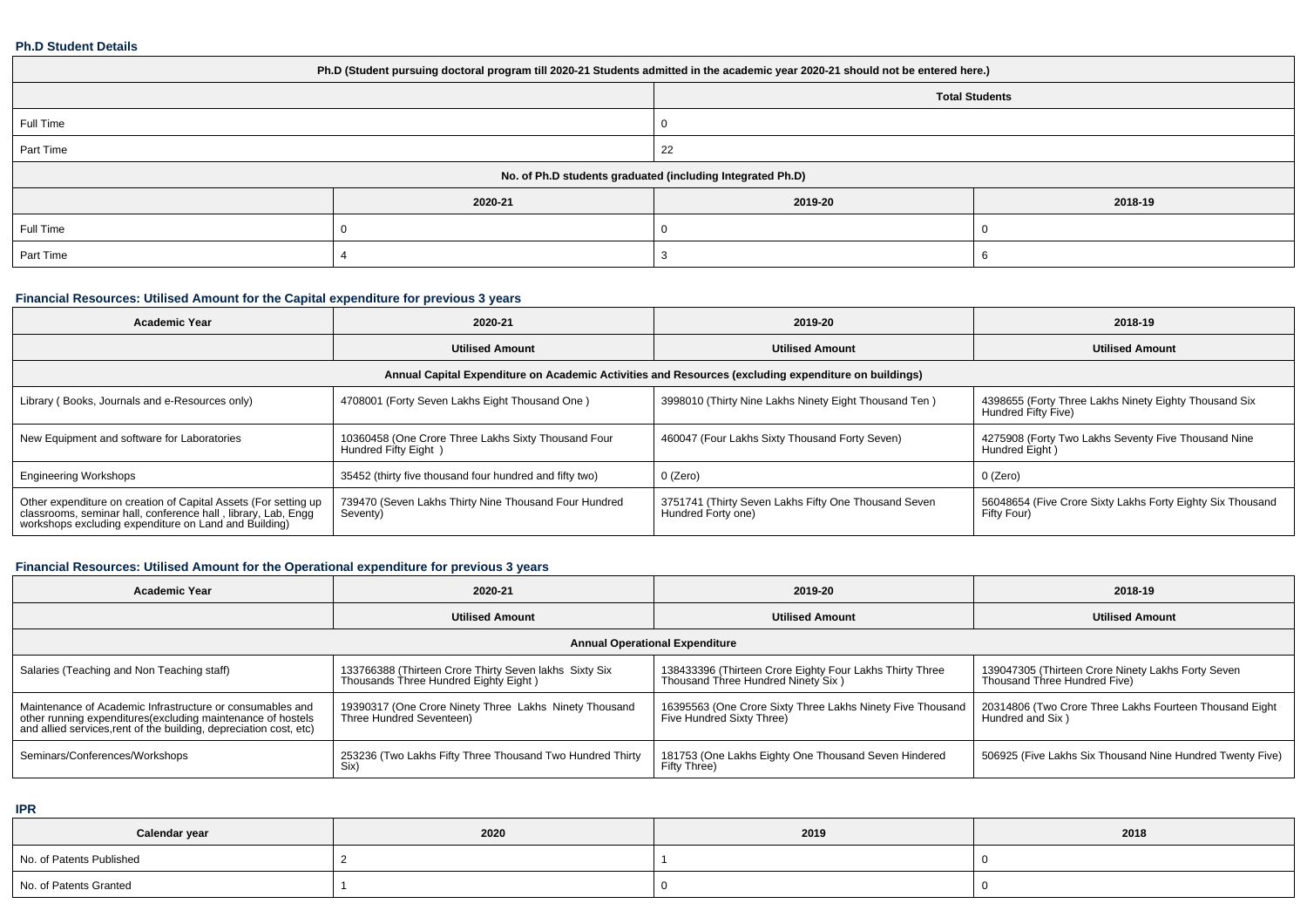#### **Ph.D Student Details**

| Ph.D (Student pursuing doctoral program till 2020-21 Students admitted in the academic year 2020-21 should not be entered here.) |         |         |         |  |  |  |  |
|----------------------------------------------------------------------------------------------------------------------------------|---------|---------|---------|--|--|--|--|
| <b>Total Students</b>                                                                                                            |         |         |         |  |  |  |  |
| Full Time                                                                                                                        |         |         |         |  |  |  |  |
| Part Time                                                                                                                        |         | 22      |         |  |  |  |  |
| No. of Ph.D students graduated (including Integrated Ph.D)                                                                       |         |         |         |  |  |  |  |
|                                                                                                                                  | 2020-21 | 2019-20 | 2018-19 |  |  |  |  |
| Full Time                                                                                                                        |         |         |         |  |  |  |  |
| Part Time                                                                                                                        |         |         |         |  |  |  |  |

# **Financial Resources: Utilised Amount for the Capital expenditure for previous 3 years**

| <b>Academic Year</b>                                                                                                                                                                   | 2020-21                                                                                              | 2019-20                                                                    | 2018-19                                                                      |  |  |  |  |  |  |
|----------------------------------------------------------------------------------------------------------------------------------------------------------------------------------------|------------------------------------------------------------------------------------------------------|----------------------------------------------------------------------------|------------------------------------------------------------------------------|--|--|--|--|--|--|
|                                                                                                                                                                                        | <b>Utilised Amount</b>                                                                               | <b>Utilised Amount</b>                                                     |                                                                              |  |  |  |  |  |  |
|                                                                                                                                                                                        | Annual Capital Expenditure on Academic Activities and Resources (excluding expenditure on buildings) |                                                                            |                                                                              |  |  |  |  |  |  |
| Library (Books, Journals and e-Resources only)                                                                                                                                         | 4708001 (Forty Seven Lakhs Eight Thousand One)                                                       | 3998010 (Thirty Nine Lakhs Ninety Eight Thousand Ten)                      | 4398655 (Forty Three Lakhs Ninety Eighty Thousand Six<br>Hundred Fifty Five) |  |  |  |  |  |  |
| New Equipment and software for Laboratories                                                                                                                                            | 10360458 (One Crore Three Lakhs Sixty Thousand Four<br>Hundred Fifty Eight)                          | 460047 (Four Lakhs Sixty Thousand Forty Seven)                             | 4275908 (Forty Two Lakhs Seventy Five Thousand Nine<br>Hundred Eight)        |  |  |  |  |  |  |
| <b>Engineering Workshops</b>                                                                                                                                                           | 35452 (thirty five thousand four hundred and fifty two)                                              | 0 (Zero)                                                                   | 0 (Zero)                                                                     |  |  |  |  |  |  |
| Other expenditure on creation of Capital Assets (For setting up classrooms, seminar hall, conference hall, library, Lab, Engg<br>workshops excluding expenditure on Land and Building) | 739470 (Seven Lakhs Thirty Nine Thousand Four Hundred<br>Seventy)                                    | 3751741 (Thirty Seven Lakhs Fifty One Thousand Seven<br>Hundred Forty one) | 56048654 (Five Crore Sixty Lakhs Forty Eighty Six Thousand<br>Fifty Four)    |  |  |  |  |  |  |

# **Financial Resources: Utilised Amount for the Operational expenditure for previous 3 years**

| Academic Year                                                                                                                                                                                   | 2020-21                                                                                         | 2019-20                                                                                        | 2018-19                                                                            |  |  |  |  |  |
|-------------------------------------------------------------------------------------------------------------------------------------------------------------------------------------------------|-------------------------------------------------------------------------------------------------|------------------------------------------------------------------------------------------------|------------------------------------------------------------------------------------|--|--|--|--|--|
|                                                                                                                                                                                                 | <b>Utilised Amount</b>                                                                          | <b>Utilised Amount</b>                                                                         | <b>Utilised Amount</b>                                                             |  |  |  |  |  |
| <b>Annual Operational Expenditure</b>                                                                                                                                                           |                                                                                                 |                                                                                                |                                                                                    |  |  |  |  |  |
| Salaries (Teaching and Non Teaching staff)                                                                                                                                                      | 133766388 (Thirteen Crore Thirty Seven lakhs Sixty Six<br>Thousands Three Hundred Eighty Eight) | 138433396 (Thirteen Crore Eighty Four Lakhs Thirty Three<br>Thousand Three Hundred Ninety Six) | 139047305 (Thirteen Crore Ninety Lakhs Forty Seven<br>Thousand Three Hundred Five) |  |  |  |  |  |
| Maintenance of Academic Infrastructure or consumables and<br>other running expenditures (excluding maintenance of hostels<br>and allied services, rent of the building, depreciation cost, etc) | 19390317 (One Crore Ninety Three Lakhs Ninety Thousand<br>Three Hundred Seventeen)              | 16395563 (One Crore Sixty Three Lakhs Ninety Five Thousand<br>Five Hundred Sixty Three)        | 20314806 (Two Crore Three Lakhs Fourteen Thousand Eight<br>Hundred and Six )       |  |  |  |  |  |
| Seminars/Conferences/Workshops                                                                                                                                                                  | 253236 (Two Lakhs Fifty Three Thousand Two Hundred Thirty<br>Six <sup>1</sup>                   | 181753 (One Lakhs Eighty One Thousand Seven Hindered<br>Fifty Three)                           | 506925 (Five Lakhs Six Thousand Nine Hundred Twenty Five)                          |  |  |  |  |  |

**IPR**

| Calendar year            | 2020 | 2019 | 2018 |
|--------------------------|------|------|------|
| No. of Patents Published |      |      |      |
| No. of Patents Granted   |      |      |      |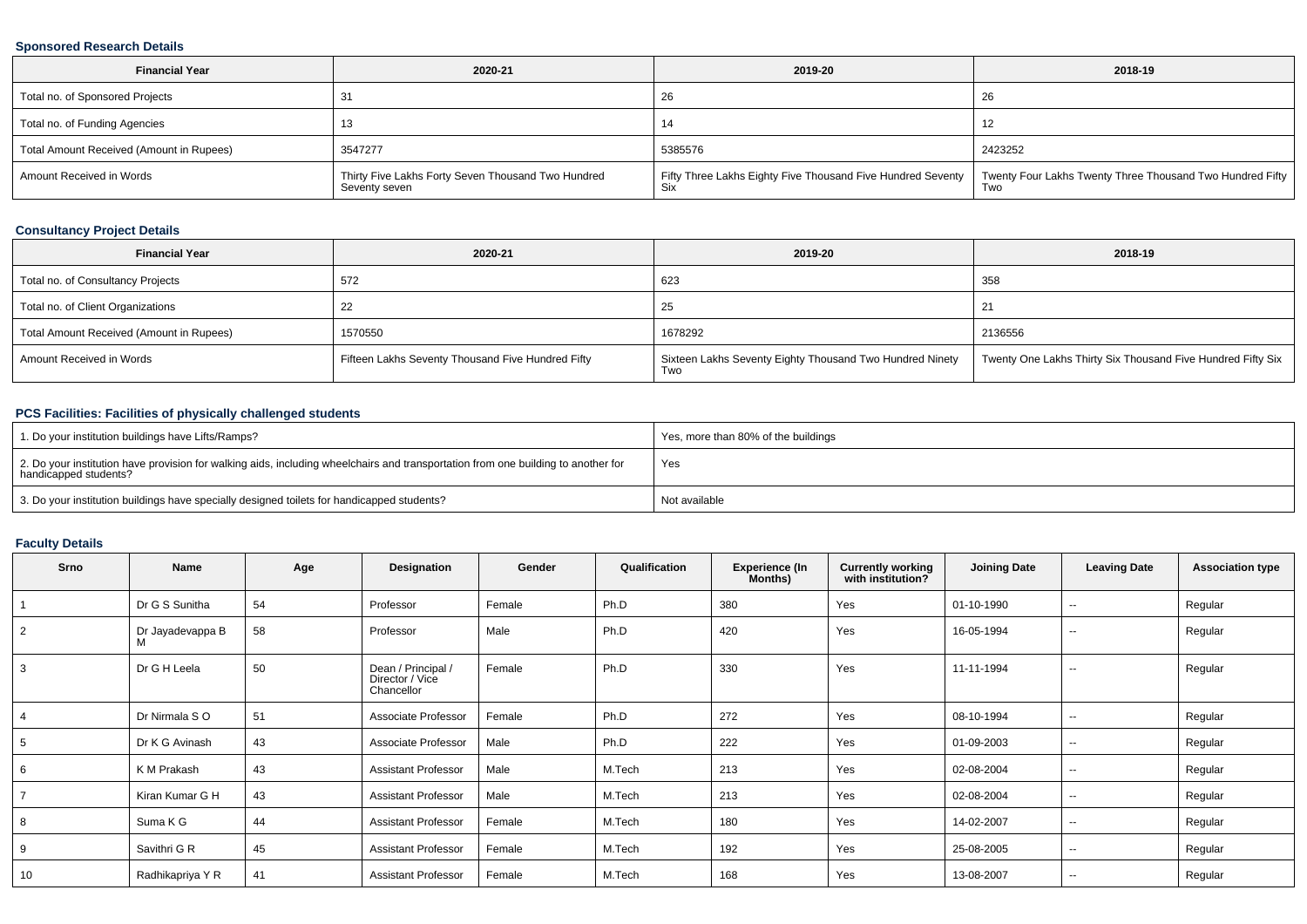### **Sponsored Research Details**

| <b>Financial Year</b>                    | 2020-21                                                             | 2019-20                                                     | 2018-19                                                            |
|------------------------------------------|---------------------------------------------------------------------|-------------------------------------------------------------|--------------------------------------------------------------------|
| Total no. of Sponsored Projects          | 31                                                                  | 26                                                          | 26                                                                 |
| Total no. of Funding Agencies            |                                                                     |                                                             | -12                                                                |
| Total Amount Received (Amount in Rupees) | 3547277                                                             | 5385576                                                     | 2423252                                                            |
| Amount Received in Words                 | Thirty Five Lakhs Forty Seven Thousand Two Hundred<br>Seventy seven | Fifty Three Lakhs Eighty Five Thousand Five Hundred Seventy | Twenty Four Lakhs Twenty Three Thousand Two Hundred Fifty  <br>Two |

## **Consultancy Project Details**

| <b>Financial Year</b>                    | 2020-21                                           | 2019-20                                                         | 2018-19                                                     |
|------------------------------------------|---------------------------------------------------|-----------------------------------------------------------------|-------------------------------------------------------------|
| Total no. of Consultancy Projects        | 572                                               | 623                                                             | 358                                                         |
| Total no. of Client Organizations        | 22                                                | 25                                                              |                                                             |
| Total Amount Received (Amount in Rupees) | 1570550                                           | 1678292                                                         | 2136556                                                     |
| Amount Received in Words                 | Fifteen Lakhs Seventy Thousand Five Hundred Fifty | Sixteen Lakhs Seventy Eighty Thousand Two Hundred Ninety<br>Two | Twenty One Lakhs Thirty Six Thousand Five Hundred Fifty Six |

### **PCS Facilities: Facilities of physically challenged students**

| 1. Do your institution buildings have Lifts/Ramps?                                                                                                         | Yes, more than 80% of the buildings |
|------------------------------------------------------------------------------------------------------------------------------------------------------------|-------------------------------------|
| 2. Do your institution have provision for walking aids, including wheelchairs and transportation from one building to another for<br>handicapped students? | Yes                                 |
| 3. Do your institution buildings have specially designed toilets for handicapped students?                                                                 | Not available                       |

## **Faculty Details**

| Srno | Name             | Age | Designation                                         | Gender | Qualification | <b>Experience (In</b><br>Months) | <b>Currently working</b><br>with institution? | <b>Joining Date</b> | <b>Leaving Date</b>      | <b>Association type</b> |
|------|------------------|-----|-----------------------------------------------------|--------|---------------|----------------------------------|-----------------------------------------------|---------------------|--------------------------|-------------------------|
|      | Dr G S Sunitha   | 54  | Professor                                           | Female | Ph.D          | 380                              | Yes                                           | 01-10-1990          | $\sim$                   | Regular                 |
| 2    | Dr Jayadevappa B | 58  | Professor                                           | Male   | Ph.D          | 420                              | Yes                                           | 16-05-1994          | $\sim$                   | Regular                 |
| 3    | Dr G H Leela     | 50  | Dean / Principal /<br>Director / Vice<br>Chancellor | Female | Ph.D          | 330                              | Yes                                           | 11-11-1994          | $\sim$                   | Regular                 |
|      | Dr Nirmala SO    | 51  | Associate Professor                                 | Female | Ph.D          | 272                              | Yes                                           | 08-10-1994          | $\overline{\phantom{a}}$ | Regular                 |
| 5    | Dr K G Avinash   | 43  | Associate Professor                                 | Male   | Ph.D          | 222                              | Yes                                           | 01-09-2003          | $\overline{\phantom{a}}$ | Regular                 |
| 6    | K M Prakash      | 43  | <b>Assistant Professor</b>                          | Male   | M.Tech        | 213                              | Yes                                           | 02-08-2004          | $\sim$                   | Regular                 |
|      | Kiran Kumar G H  | 43  | <b>Assistant Professor</b>                          | Male   | M.Tech        | 213                              | Yes                                           | 02-08-2004          | $\overline{\phantom{a}}$ | Regular                 |
| 8    | Suma K G         | 44  | <b>Assistant Professor</b>                          | Female | M.Tech        | 180                              | Yes                                           | 14-02-2007          | $\sim$                   | Regular                 |
| 9    | Savithri G R     | 45  | <b>Assistant Professor</b>                          | Female | M.Tech        | 192                              | Yes                                           | 25-08-2005          | $\overline{\phantom{a}}$ | Regular                 |
| 10   | Radhikapriya Y R | 41  | <b>Assistant Professor</b>                          | Female | M.Tech        | 168                              | Yes                                           | 13-08-2007          | $\overline{\phantom{a}}$ | Regular                 |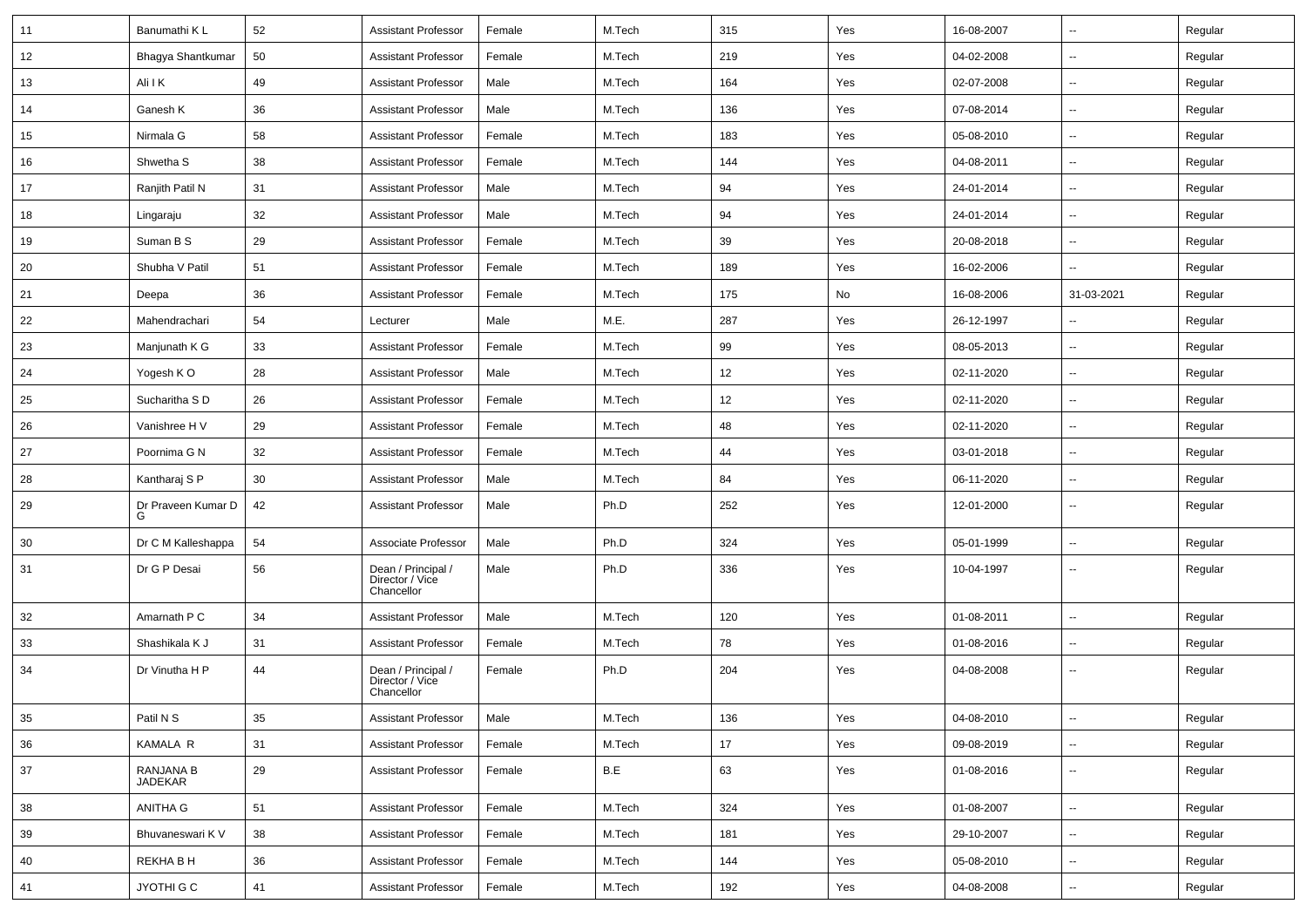| 11 | Banumathi K L               | 52 | <b>Assistant Professor</b>                          | Female | M.Tech | 315 | Yes | 16-08-2007 | $\sim$                   | Regular |
|----|-----------------------------|----|-----------------------------------------------------|--------|--------|-----|-----|------------|--------------------------|---------|
| 12 | Bhagya Shantkumar           | 50 | <b>Assistant Professor</b>                          | Female | M.Tech | 219 | Yes | 04-02-2008 | $\sim$                   | Regular |
| 13 | Ali I K                     | 49 | <b>Assistant Professor</b>                          | Male   | M.Tech | 164 | Yes | 02-07-2008 | Ξ.                       | Regular |
| 14 | Ganesh K                    | 36 | <b>Assistant Professor</b>                          | Male   | M.Tech | 136 | Yes | 07-08-2014 | Ξ.                       | Regular |
| 15 | Nirmala G                   | 58 | <b>Assistant Professor</b>                          | Female | M.Tech | 183 | Yes | 05-08-2010 | $\overline{\phantom{a}}$ | Regular |
| 16 | Shwetha <sub>S</sub>        | 38 | <b>Assistant Professor</b>                          | Female | M.Tech | 144 | Yes | 04-08-2011 | $\overline{a}$           | Regular |
| 17 | Ranjith Patil N             | 31 | <b>Assistant Professor</b>                          | Male   | M.Tech | 94  | Yes | 24-01-2014 | $\sim$                   | Regular |
| 18 | Lingaraju                   | 32 | <b>Assistant Professor</b>                          | Male   | M.Tech | 94  | Yes | 24-01-2014 | $\sim$                   | Regular |
| 19 | Suman B S                   | 29 | <b>Assistant Professor</b>                          | Female | M.Tech | 39  | Yes | 20-08-2018 | Ξ.                       | Regular |
| 20 | Shubha V Patil              | 51 | <b>Assistant Professor</b>                          | Female | M.Tech | 189 | Yes | 16-02-2006 | $\overline{\phantom{a}}$ | Regular |
| 21 | Deepa                       | 36 | <b>Assistant Professor</b>                          | Female | M.Tech | 175 | No  | 16-08-2006 | 31-03-2021               | Regular |
| 22 | Mahendrachari               | 54 | Lecturer                                            | Male   | M.E.   | 287 | Yes | 26-12-1997 |                          | Regular |
| 23 | Manjunath K G               | 33 | <b>Assistant Professor</b>                          | Female | M.Tech | 99  | Yes | 08-05-2013 | $\overline{\phantom{a}}$ | Regular |
| 24 | Yogesh KO                   | 28 | <b>Assistant Professor</b>                          | Male   | M.Tech | 12  | Yes | 02-11-2020 | $\sim$                   | Regular |
| 25 | Sucharitha S D              | 26 | <b>Assistant Professor</b>                          | Female | M.Tech | 12  | Yes | 02-11-2020 | ш.                       | Regular |
| 26 | Vanishree H V               | 29 | <b>Assistant Professor</b>                          | Female | M.Tech | 48  | Yes | 02-11-2020 | Ξ.                       | Regular |
| 27 | Poornima G N                | 32 | <b>Assistant Professor</b>                          | Female | M.Tech | 44  | Yes | 03-01-2018 | $\overline{a}$           | Regular |
| 28 | Kantharaj S P               | 30 | <b>Assistant Professor</b>                          | Male   | M.Tech | 84  | Yes | 06-11-2020 | Ξ.                       | Regular |
| 29 | Dr Praveen Kumar D<br>G     | 42 | <b>Assistant Professor</b>                          | Male   | Ph.D   | 252 | Yes | 12-01-2000 | $\overline{a}$           | Regular |
| 30 | Dr C M Kalleshappa          | 54 | Associate Professor                                 | Male   | Ph.D   | 324 | Yes | 05-01-1999 | $\sim$                   | Regular |
| 31 | Dr G P Desai                | 56 | Dean / Principal /<br>Director / Vice<br>Chancellor | Male   | Ph.D   | 336 | Yes | 10-04-1997 | $\overline{a}$           | Regular |
| 32 | Amarnath P C                | 34 | <b>Assistant Professor</b>                          | Male   | M.Tech | 120 | Yes | 01-08-2011 | $\sim$                   | Regular |
| 33 | Shashikala K J              | 31 | <b>Assistant Professor</b>                          | Female | M.Tech | 78  | Yes | 01-08-2016 | $\sim$                   | Regular |
| 34 | Dr Vinutha H P              | 44 | Dean / Principal /<br>Director / Vice<br>Chancellor | Female | Ph.D   | 204 | Yes | 04-08-2008 | Ξ.                       | Regular |
| 35 | Patil N S                   | 35 | <b>Assistant Professor</b>                          | Male   | M.Tech | 136 | Yes | 04-08-2010 | $\sim$                   | Regular |
| 36 | KAMALA R                    | 31 | <b>Assistant Professor</b>                          | Female | M.Tech | 17  | Yes | 09-08-2019 | Щ,                       | Regular |
| 37 | RANJANA B<br><b>JADEKAR</b> | 29 | <b>Assistant Professor</b>                          | Female | B.E    | 63  | Yes | 01-08-2016 | $\sim$                   | Regular |
| 38 | ANITHA G                    | 51 | <b>Assistant Professor</b>                          | Female | M.Tech | 324 | Yes | 01-08-2007 | $\sim$                   | Regular |
| 39 | Bhuvaneswari K V            | 38 | <b>Assistant Professor</b>                          | Female | M.Tech | 181 | Yes | 29-10-2007 | Ξ.                       | Regular |
| 40 | REKHA B H                   | 36 | <b>Assistant Professor</b>                          | Female | M.Tech | 144 | Yes | 05-08-2010 | Щ,                       | Regular |
| 41 | JYOTHI G C                  | 41 | <b>Assistant Professor</b>                          | Female | M.Tech | 192 | Yes | 04-08-2008 | $\sim$                   | Regular |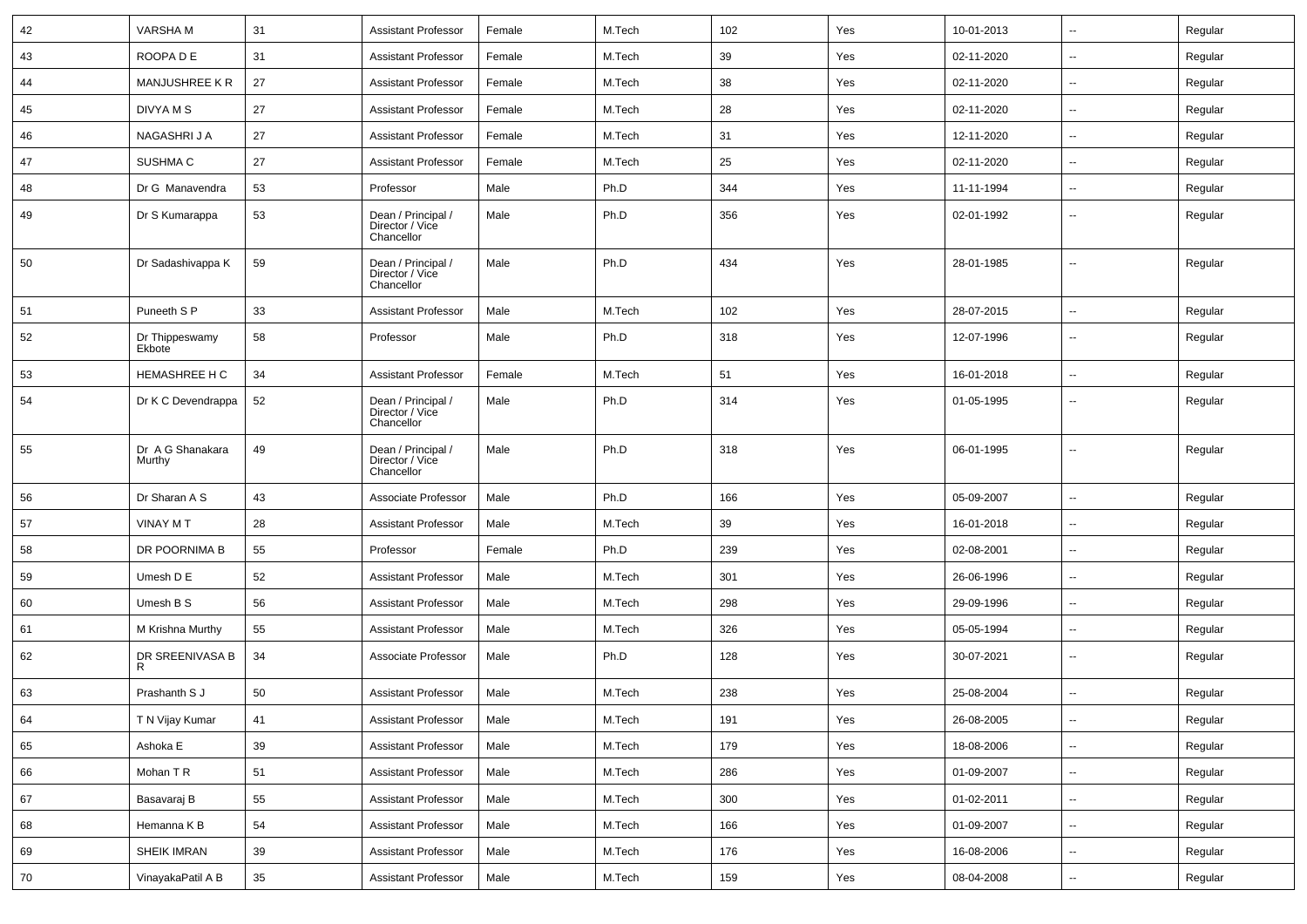| 42 | <b>VARSHAM</b>             | 31         | <b>Assistant Professor</b>                          | Female | M.Tech | 102 | Yes | 10-01-2013 | $\sim$                   | Regular |
|----|----------------------------|------------|-----------------------------------------------------|--------|--------|-----|-----|------------|--------------------------|---------|
| 43 | ROOPA DE                   | 31         | <b>Assistant Professor</b>                          | Female | M.Tech | 39  | Yes | 02-11-2020 | $\mathbf{u}$             | Regular |
| 44 | MANJUSHREE K R             | 27         | <b>Assistant Professor</b>                          | Female | M.Tech | 38  | Yes | 02-11-2020 | $\overline{\phantom{a}}$ | Regular |
| 45 | DIVYA M S                  | 27         | <b>Assistant Professor</b>                          | Female | M.Tech | 28  | Yes | 02-11-2020 | $\overline{\phantom{a}}$ | Regular |
| 46 | NAGASHRI J A               | 27         | <b>Assistant Professor</b>                          | Female | M.Tech | 31  | Yes | 12-11-2020 | $\overline{\phantom{a}}$ | Regular |
| 47 | SUSHMA C                   | 27         | <b>Assistant Professor</b>                          | Female | M.Tech | 25  | Yes | 02-11-2020 | $\overline{\phantom{a}}$ | Regular |
| 48 | Dr G Manavendra            | 53         | Professor                                           | Male   | Ph.D   | 344 | Yes | 11-11-1994 | $\sim$                   | Regular |
| 49 | Dr S Kumarappa             | 53         | Dean / Principal /<br>Director / Vice<br>Chancellor | Male   | Ph.D   | 356 | Yes | 02-01-1992 | $\overline{\phantom{a}}$ | Regular |
| 50 | Dr Sadashivappa K          | 59         | Dean / Principal /<br>Director / Vice<br>Chancellor | Male   | Ph.D   | 434 | Yes | 28-01-1985 | $\overline{\phantom{a}}$ | Regular |
| 51 | Puneeth S P                | 33         | <b>Assistant Professor</b>                          | Male   | M.Tech | 102 | Yes | 28-07-2015 | $\mathbf{u}$             | Regular |
| 52 | Dr Thippeswamy<br>Ekbote   | 58         | Professor                                           | Male   | Ph.D   | 318 | Yes | 12-07-1996 | $\overline{\phantom{a}}$ | Regular |
| 53 | <b>HEMASHREE H C</b>       | 34         | <b>Assistant Professor</b>                          | Female | M.Tech | 51  | Yes | 16-01-2018 | $\sim$                   | Regular |
| 54 | Dr K C Devendrappa         | 52         | Dean / Principal /<br>Director / Vice<br>Chancellor | Male   | Ph.D   | 314 | Yes | 01-05-1995 | --                       | Regular |
| 55 | Dr A G Shanakara<br>Murthy | 49         | Dean / Principal /<br>Director / Vice<br>Chancellor | Male   | Ph.D   | 318 | Yes | 06-01-1995 | $\mathbf{u}$             | Regular |
| 56 | Dr Sharan A S              | 43         | Associate Professor                                 | Male   | Ph.D   | 166 | Yes | 05-09-2007 | $\mathbf{u}$             | Regular |
| 57 | <b>VINAY MT</b>            | 28         | <b>Assistant Professor</b>                          | Male   | M.Tech | 39  | Yes | 16-01-2018 | $\sim$                   | Regular |
| 58 | DR POORNIMA B              | 55         | Professor                                           | Female | Ph.D   | 239 | Yes | 02-08-2001 | $\mathbf{u}$             | Regular |
| 59 | Umesh D E                  | 52         | <b>Assistant Professor</b>                          | Male   | M.Tech | 301 | Yes | 26-06-1996 | $\mathbf{u}$             | Regular |
| 60 | Umesh B S                  | 56         | <b>Assistant Professor</b>                          | Male   | M.Tech | 298 | Yes | 29-09-1996 | $\overline{\phantom{a}}$ | Regular |
| 61 | M Krishna Murthy           | 55         | <b>Assistant Professor</b>                          | Male   | M.Tech | 326 | Yes | 05-05-1994 | $\overline{\phantom{a}}$ | Regular |
| 62 | DR SREENIVASA B<br>R       | 34         | Associate Professor                                 | Male   | Ph.D   | 128 | Yes | 30-07-2021 | $\overline{\phantom{a}}$ | Regular |
| 63 | Prashanth S J              | 50         | <b>Assistant Professor</b>                          | Male   | M.Tech | 238 | Yes | 25-08-2004 | $\sim$                   | Regular |
| 64 | T N Vijay Kumar            | 41         | <b>Assistant Professor</b>                          | Male   | M.Tech | 191 | Yes | 26-08-2005 | $\overline{\phantom{a}}$ | Regular |
| 65 | Ashoka E                   | 39         | <b>Assistant Professor</b>                          | Male   | M.Tech | 179 | Yes | 18-08-2006 | $\sim$                   | Regular |
| 66 | Mohan T R                  | 51         | <b>Assistant Professor</b>                          | Male   | M.Tech | 286 | Yes | 01-09-2007 | $\sim$                   | Regular |
| 67 | Basavaraj B                | ${\bf 55}$ | <b>Assistant Professor</b>                          | Male   | M.Tech | 300 | Yes | 01-02-2011 | $\sim$                   | Regular |
| 68 | Hemanna K B                | 54         | <b>Assistant Professor</b>                          | Male   | M.Tech | 166 | Yes | 01-09-2007 | $\sim$                   | Regular |
| 69 | SHEIK IMRAN                | 39         | <b>Assistant Professor</b>                          | Male   | M.Tech | 176 | Yes | 16-08-2006 | $\overline{\phantom{a}}$ | Regular |
| 70 | VinayakaPatil A B          | 35         | <b>Assistant Professor</b>                          | Male   | M.Tech | 159 | Yes | 08-04-2008 | $\sim$                   | Regular |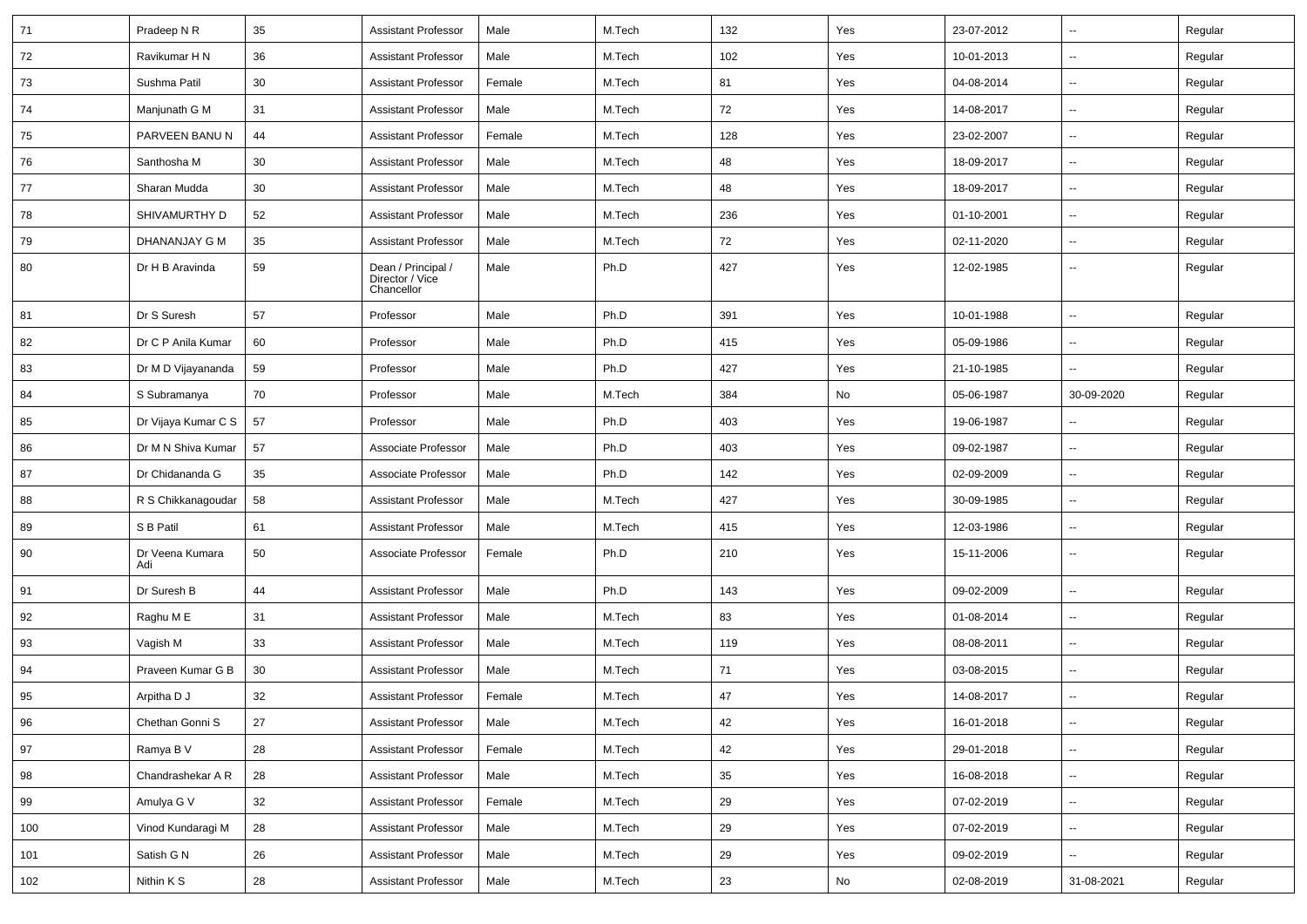| 71     | Pradeep N R            | 35     | <b>Assistant Professor</b>                          | Male   | M.Tech | 132    | Yes | 23-07-2012 | $\sim$                   | Regular |
|--------|------------------------|--------|-----------------------------------------------------|--------|--------|--------|-----|------------|--------------------------|---------|
| 72     | Ravikumar H N          | 36     | <b>Assistant Professor</b>                          | Male   | M.Tech | 102    | Yes | 10-01-2013 | $\sim$                   | Regular |
| 73     | Sushma Patil           | 30     | <b>Assistant Professor</b>                          | Female | M.Tech | 81     | Yes | 04-08-2014 | $\sim$                   | Regular |
| 74     | Manjunath G M          | 31     | <b>Assistant Professor</b>                          | Male   | M.Tech | 72     | Yes | 14-08-2017 | $\sim$                   | Regular |
| 75     | PARVEEN BANU N         | 44     | <b>Assistant Professor</b>                          | Female | M.Tech | 128    | Yes | 23-02-2007 | $\overline{\phantom{a}}$ | Regular |
| 76     | Santhosha M            | 30     | <b>Assistant Professor</b>                          | Male   | M.Tech | 48     | Yes | 18-09-2017 | $\overline{\phantom{a}}$ | Regular |
| 77     | Sharan Mudda           | 30     | <b>Assistant Professor</b>                          | Male   | M.Tech | 48     | Yes | 18-09-2017 | $\sim$                   | Regular |
| 78     | SHIVAMURTHY D          | 52     | <b>Assistant Professor</b>                          | Male   | M.Tech | 236    | Yes | 01-10-2001 | $\sim$                   | Regular |
| 79     | DHANANJAY G M          | 35     | <b>Assistant Professor</b>                          | Male   | M.Tech | 72     | Yes | 02-11-2020 | $\sim$                   | Regular |
| 80     | Dr H B Aravinda        | 59     | Dean / Principal /<br>Director / Vice<br>Chancellor | Male   | Ph.D   | 427    | Yes | 12-02-1985 | $\overline{\phantom{a}}$ | Regular |
| 81     | Dr S Suresh            | 57     | Professor                                           | Male   | Ph.D   | 391    | Yes | 10-01-1988 | $\sim$                   | Regular |
| 82     | Dr C P Anila Kumar     | 60     | Professor                                           | Male   | Ph.D   | 415    | Yes | 05-09-1986 | $\overline{\phantom{a}}$ | Regular |
| 83     | Dr M D Vijayananda     | 59     | Professor                                           | Male   | Ph.D   | 427    | Yes | 21-10-1985 | $\overline{a}$           | Regular |
| 84     | S Subramanya           | 70     | Professor                                           | Male   | M.Tech | 384    | No  | 05-06-1987 | 30-09-2020               | Regular |
| 85     | Dr Vijaya Kumar C S    | 57     | Professor                                           | Male   | Ph.D   | 403    | Yes | 19-06-1987 | $\sim$                   | Regular |
| 86     | Dr M N Shiva Kumar     | 57     | Associate Professor                                 | Male   | Ph.D   | 403    | Yes | 09-02-1987 | $\sim$                   | Regular |
| 87     | Dr Chidananda G        | 35     | Associate Professor                                 | Male   | Ph.D   | 142    | Yes | 02-09-2009 | $\overline{\phantom{a}}$ | Regular |
| 88     | R S Chikkanagoudar     | 58     | <b>Assistant Professor</b>                          | Male   | M.Tech | 427    | Yes | 30-09-1985 | $\overline{a}$           | Regular |
| 89     | S B Patil              | 61     | <b>Assistant Professor</b>                          | Male   | M.Tech | 415    | Yes | 12-03-1986 | $\overline{\phantom{a}}$ | Regular |
| 90     | Dr Veena Kumara<br>Adi | 50     | Associate Professor                                 | Female | Ph.D   | 210    | Yes | 15-11-2006 | $\sim$                   | Regular |
| 91     | Dr Suresh B            | 44     | <b>Assistant Professor</b>                          | Male   | Ph.D   | 143    | Yes | 09-02-2009 | $\sim$                   | Regular |
| 92     | Raghu ME               | 31     | <b>Assistant Professor</b>                          | Male   | M.Tech | 83     | Yes | 01-08-2014 | $\sim$                   | Regular |
| 93     | Vagish M               | 33     | <b>Assistant Professor</b>                          | Male   | M.Tech | 119    | Yes | 08-08-2011 | $\sim$                   | Regular |
| 94     | Praveen Kumar G B      | 30     | <b>Assistant Professor</b>                          | Male   | M.Tech | 71     | Yes | 03-08-2015 | $\overline{\phantom{a}}$ | Regular |
| 95     | Arpitha D J            | 32     | <b>Assistant Professor</b>                          | Female | M.Tech | 47     | Yes | 14-08-2017 |                          | Regular |
| $96\,$ | Chethan Gonni S        | $27\,$ | <b>Assistant Professor</b>                          | Male   | M.Tech | 42     | Yes | 16-01-2018 | $\overline{\phantom{a}}$ | Regular |
| 97     | Ramya B V              | 28     | <b>Assistant Professor</b>                          | Female | M.Tech | 42     | Yes | 29-01-2018 | $\sim$                   | Regular |
| 98     | Chandrashekar A R      | 28     | Assistant Professor                                 | Male   | M.Tech | 35     | Yes | 16-08-2018 | $\sim$                   | Regular |
| 99     | Amulya G V             | 32     | <b>Assistant Professor</b>                          | Female | M.Tech | 29     | Yes | 07-02-2019 | $\sim$                   | Regular |
| 100    | Vinod Kundaragi M      | 28     | <b>Assistant Professor</b>                          | Male   | M.Tech | 29     | Yes | 07-02-2019 | $\sim$                   | Regular |
| 101    | Satish G N             | 26     | <b>Assistant Professor</b>                          | Male   | M.Tech | 29     | Yes | 09-02-2019 | $\sim$                   | Regular |
| 102    | Nithin K S             | 28     | <b>Assistant Professor</b>                          | Male   | M.Tech | $23\,$ | No  | 02-08-2019 | 31-08-2021               | Regular |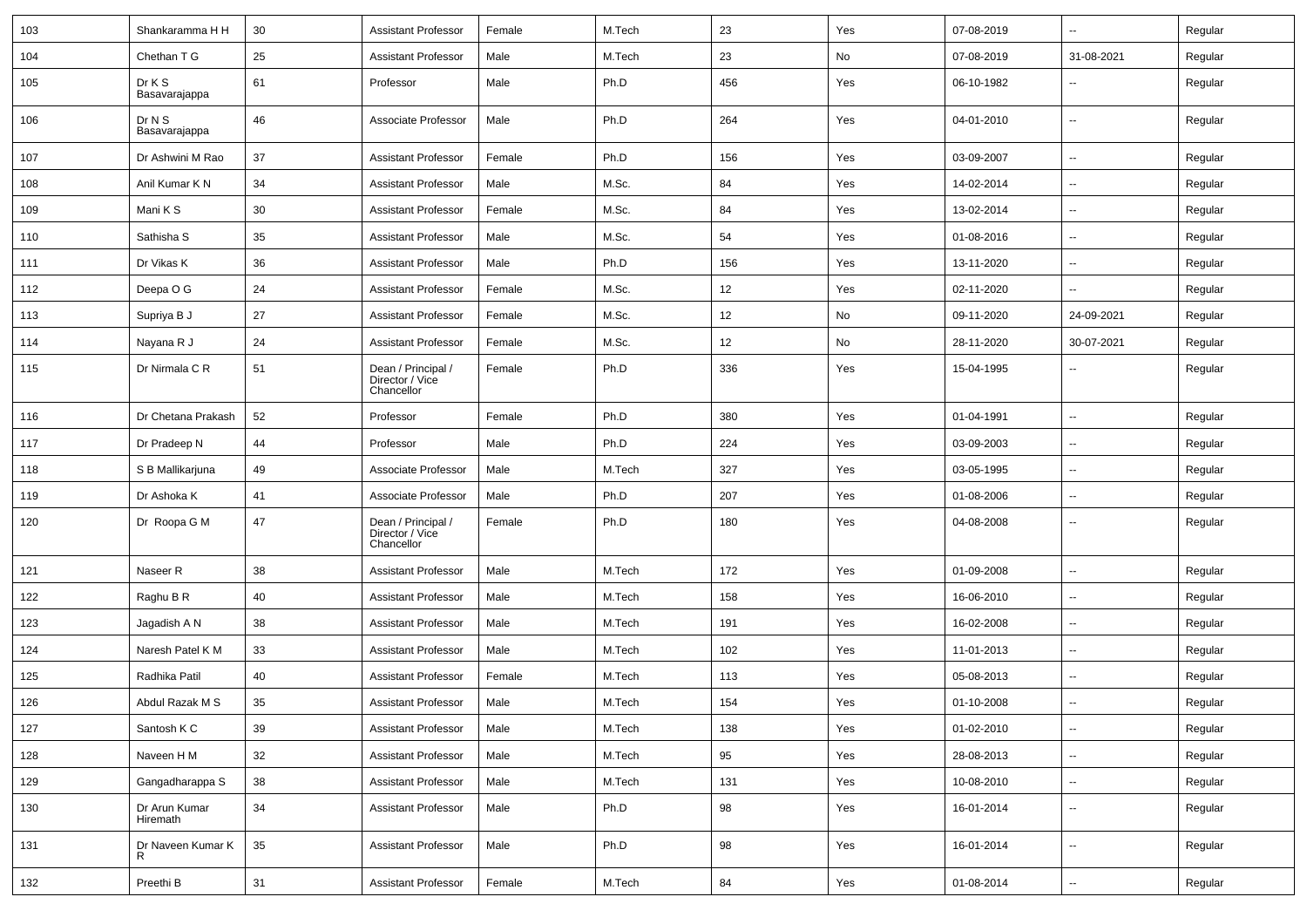| 103 | Shankaramma H H           | 30 | <b>Assistant Professor</b>                          | Female | M.Tech | 23  | Yes | 07-08-2019 | $\sim$                   | Regular |
|-----|---------------------------|----|-----------------------------------------------------|--------|--------|-----|-----|------------|--------------------------|---------|
| 104 | Chethan T G               | 25 | <b>Assistant Professor</b>                          | Male   | M.Tech | 23  | No  | 07-08-2019 | 31-08-2021               | Regular |
| 105 | Dr K S<br>Basavarajappa   | 61 | Professor                                           | Male   | Ph.D   | 456 | Yes | 06-10-1982 | --                       | Regular |
| 106 | Dr N S<br>Basavarajappa   | 46 | Associate Professor                                 | Male   | Ph.D   | 264 | Yes | 04-01-2010 | $\overline{\phantom{a}}$ | Regular |
| 107 | Dr Ashwini M Rao          | 37 | <b>Assistant Professor</b>                          | Female | Ph.D   | 156 | Yes | 03-09-2007 | $\overline{\phantom{a}}$ | Regular |
| 108 | Anil Kumar K N            | 34 | <b>Assistant Professor</b>                          | Male   | M.Sc.  | 84  | Yes | 14-02-2014 | --                       | Regular |
| 109 | Mani K S                  | 30 | <b>Assistant Professor</b>                          | Female | M.Sc.  | 84  | Yes | 13-02-2014 | -−                       | Regular |
| 110 | Sathisha <sub>S</sub>     | 35 | <b>Assistant Professor</b>                          | Male   | M.Sc.  | 54  | Yes | 01-08-2016 | $\overline{\phantom{a}}$ | Regular |
| 111 | Dr Vikas K                | 36 | <b>Assistant Professor</b>                          | Male   | Ph.D   | 156 | Yes | 13-11-2020 | ⊷.                       | Regular |
| 112 | Deepa O G                 | 24 | <b>Assistant Professor</b>                          | Female | M.Sc.  | 12  | Yes | 02-11-2020 | --                       | Regular |
| 113 | Supriya B J               | 27 | <b>Assistant Professor</b>                          | Female | M.Sc.  | 12  | No  | 09-11-2020 | 24-09-2021               | Regular |
| 114 | Nayana R J                | 24 | <b>Assistant Professor</b>                          | Female | M.Sc.  | 12  | No  | 28-11-2020 | 30-07-2021               | Regular |
| 115 | Dr Nirmala C R            | 51 | Dean / Principal /<br>Director / Vice<br>Chancellor | Female | Ph.D   | 336 | Yes | 15-04-1995 |                          | Regular |
| 116 | Dr Chetana Prakash        | 52 | Professor                                           | Female | Ph.D   | 380 | Yes | 01-04-1991 | $\overline{\phantom{a}}$ | Regular |
| 117 | Dr Pradeep N              | 44 | Professor                                           | Male   | Ph.D   | 224 | Yes | 03-09-2003 | --                       | Regular |
| 118 | S B Mallikarjuna          | 49 | Associate Professor                                 | Male   | M.Tech | 327 | Yes | 03-05-1995 | $\overline{\phantom{a}}$ | Regular |
| 119 | Dr Ashoka K               | 41 | Associate Professor                                 | Male   | Ph.D   | 207 | Yes | 01-08-2006 | --                       | Regular |
| 120 | Dr Roopa G M              | 47 | Dean / Principal /<br>Director / Vice<br>Chancellor | Female | Ph.D   | 180 | Yes | 04-08-2008 | $\overline{\phantom{a}}$ | Regular |
| 121 | Naseer <sub>R</sub>       | 38 | <b>Assistant Professor</b>                          | Male   | M.Tech | 172 | Yes | 01-09-2008 | $\overline{\phantom{a}}$ | Regular |
| 122 | Raghu B R                 | 40 | <b>Assistant Professor</b>                          | Male   | M.Tech | 158 | Yes | 16-06-2010 | $\overline{\phantom{a}}$ | Regular |
| 123 | Jagadish A N              | 38 | <b>Assistant Professor</b>                          | Male   | M.Tech | 191 | Yes | 16-02-2008 | $\overline{\phantom{a}}$ | Regular |
| 124 | Naresh Patel K M          | 33 | <b>Assistant Professor</b>                          | Male   | M.Tech | 102 | Yes | 11-01-2013 | $\overline{a}$           | Regular |
| 125 | Radhika Patil             | 40 | <b>Assistant Professor</b>                          | Female | M.Tech | 113 | Yes | 05-08-2013 | --                       | Regular |
| 126 | Abdul Razak M S           | 35 | <b>Assistant Professor</b>                          | Male   | M.Tech | 154 | Yes | 01-10-2008 | $\overline{\phantom{a}}$ | Regular |
| 127 | Santosh K C               | 39 | <b>Assistant Professor</b>                          | Male   | M.Tech | 138 | Yes | 01-02-2010 | $\sim$                   | Regular |
| 128 | Naveen H M                | 32 | <b>Assistant Professor</b>                          | Male   | M.Tech | 95  | Yes | 28-08-2013 | $\sim$                   | Regular |
| 129 | Gangadharappa S           | 38 | <b>Assistant Professor</b>                          | Male   | M.Tech | 131 | Yes | 10-08-2010 | $\overline{\phantom{a}}$ | Regular |
| 130 | Dr Arun Kumar<br>Hiremath | 34 | <b>Assistant Professor</b>                          | Male   | Ph.D   | 98  | Yes | 16-01-2014 | $\overline{\phantom{a}}$ | Regular |
| 131 | Dr Naveen Kumar K<br>R    | 35 | <b>Assistant Professor</b>                          | Male   | Ph.D   | 98  | Yes | 16-01-2014 | $\sim$                   | Regular |
| 132 | Preethi B                 | 31 | <b>Assistant Professor</b>                          | Female | M.Tech | 84  | Yes | 01-08-2014 | $\sim$                   | Regular |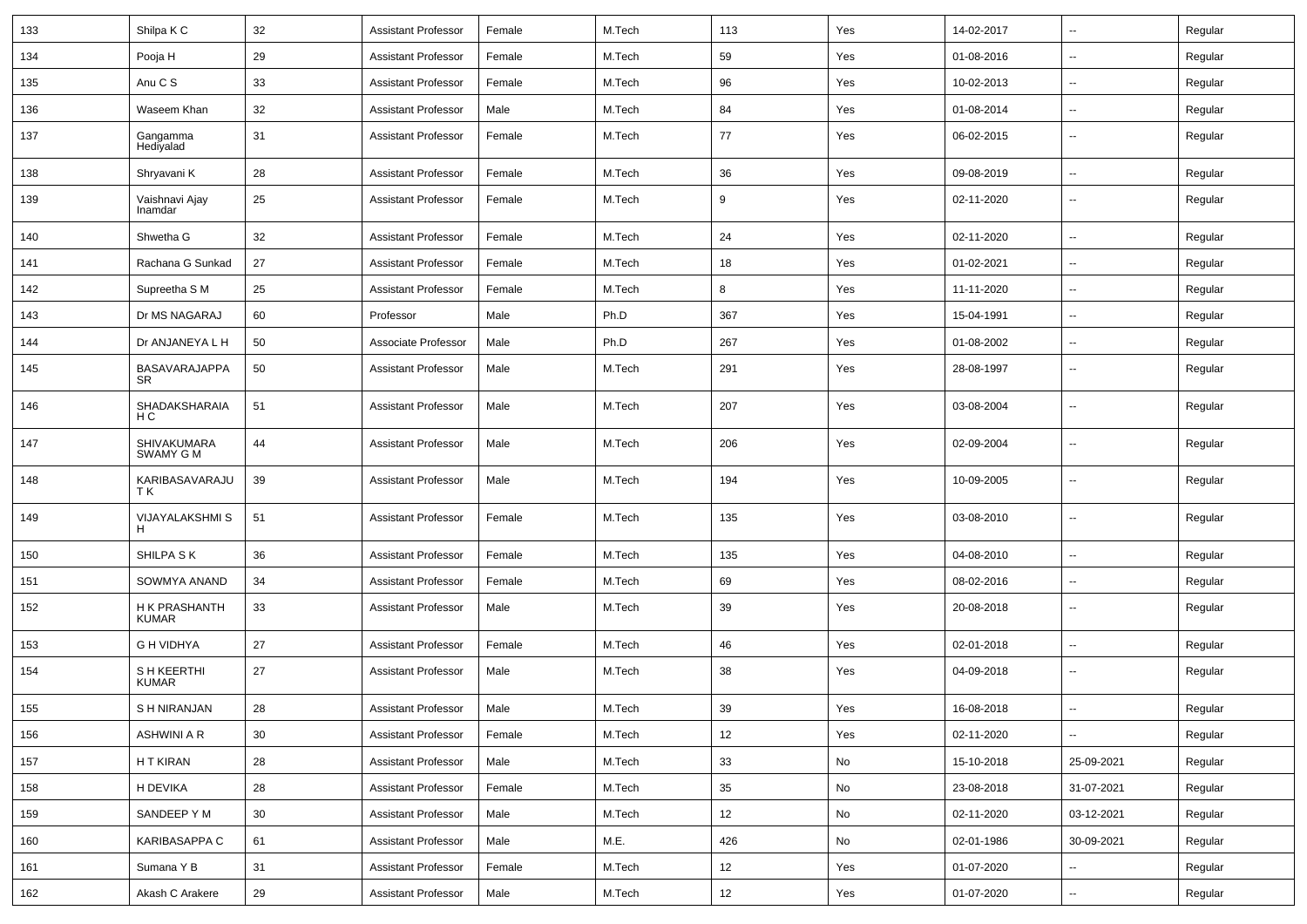| 133 | Shilpa K C                    | 32 | Assistant Professor        | Female | M.Tech | 113 | Yes | 14-02-2017 | $\sim$                   | Regular |
|-----|-------------------------------|----|----------------------------|--------|--------|-----|-----|------------|--------------------------|---------|
| 134 | Pooja H                       | 29 | Assistant Professor        | Female | M.Tech | 59  | Yes | 01-08-2016 | $\overline{a}$           | Regular |
| 135 | Anu C S                       | 33 | Assistant Professor        | Female | M.Tech | 96  | Yes | 10-02-2013 | $\overline{a}$           | Regular |
| 136 | Waseem Khan                   | 32 | <b>Assistant Professor</b> | Male   | M.Tech | 84  | Yes | 01-08-2014 | $\overline{a}$           | Regular |
| 137 | Gangamma<br>Hediyalad         | 31 | <b>Assistant Professor</b> | Female | M.Tech | 77  | Yes | 06-02-2015 | ۰.                       | Regular |
| 138 | Shryavani K                   | 28 | <b>Assistant Professor</b> | Female | M.Tech | 36  | Yes | 09-08-2019 | Ξ.                       | Regular |
| 139 | Vaishnavi Ajay<br>Inamdar     | 25 | <b>Assistant Professor</b> | Female | M.Tech | 9   | Yes | 02-11-2020 | $\overline{a}$           | Regular |
| 140 | Shwetha G                     | 32 | <b>Assistant Professor</b> | Female | M.Tech | 24  | Yes | 02-11-2020 | $\overline{\phantom{a}}$ | Regular |
| 141 | Rachana G Sunkad              | 27 | <b>Assistant Professor</b> | Female | M.Tech | 18  | Yes | 01-02-2021 | $\sim$                   | Regular |
| 142 | Supreetha S M                 | 25 | <b>Assistant Professor</b> | Female | M.Tech | 8   | Yes | 11-11-2020 | --                       | Regular |
| 143 | Dr MS NAGARAJ                 | 60 | Professor                  | Male   | Ph.D   | 367 | Yes | 15-04-1991 | $\overline{\phantom{a}}$ | Regular |
| 144 | Dr ANJANEYA L H               | 50 | Associate Professor        | Male   | Ph.D   | 267 | Yes | 01-08-2002 | --                       | Regular |
| 145 | BASAVARAJAPPA<br><b>SR</b>    | 50 | <b>Assistant Professor</b> | Male   | M.Tech | 291 | Yes | 28-08-1997 | --                       | Regular |
| 146 | SHADAKSHARAIA<br>H C          | 51 | <b>Assistant Professor</b> | Male   | M.Tech | 207 | Yes | 03-08-2004 | --                       | Regular |
| 147 | SHIVAKUMARA<br>SWAMY G M      | 44 | <b>Assistant Professor</b> | Male   | M.Tech | 206 | Yes | 02-09-2004 | --                       | Regular |
| 148 | KARIBASAVARAJU<br>ТK          | 39 | <b>Assistant Professor</b> | Male   | M.Tech | 194 | Yes | 10-09-2005 | --                       | Regular |
| 149 | VIJAYALAKSHMI S<br>H          | 51 | <b>Assistant Professor</b> | Female | M.Tech | 135 | Yes | 03-08-2010 | --                       | Regular |
| 150 | SHILPA S K                    | 36 | <b>Assistant Professor</b> | Female | M.Tech | 135 | Yes | 04-08-2010 | --                       | Regular |
| 151 | SOWMYA ANAND                  | 34 | <b>Assistant Professor</b> | Female | M.Tech | 69  | Yes | 08-02-2016 | $\sim$                   | Regular |
| 152 | H K PRASHANTH<br><b>KUMAR</b> | 33 | <b>Assistant Professor</b> | Male   | M.Tech | 39  | Yes | 20-08-2018 | $\overline{\phantom{a}}$ | Regular |
| 153 | <b>G H VIDHYA</b>             | 27 | <b>Assistant Professor</b> | Female | M.Tech | 46  | Yes | 02-01-2018 | $\sim$                   | Regular |
| 154 | S H KEERTHI<br><b>KUMAR</b>   | 27 | <b>Assistant Professor</b> | Male   | M.Tech | 38  | Yes | 04-09-2018 | --                       | Regular |
| 155 | S H NIRANJAN                  | 28 | Assistant Professor        | Male   | M.Tech | 39  | Yes | 16-08-2018 | Ξ.                       | Regular |
| 156 | ASHWINI A R                   | 30 | <b>Assistant Professor</b> | Female | M.Tech | 12  | Yes | 02-11-2020 | $\sim$                   | Regular |
| 157 | H T KIRAN                     | 28 | <b>Assistant Professor</b> | Male   | M.Tech | 33  | No  | 15-10-2018 | 25-09-2021               | Regular |
| 158 | H DEVIKA                      | 28 | <b>Assistant Professor</b> | Female | M.Tech | 35  | No  | 23-08-2018 | 31-07-2021               | Regular |
| 159 | SANDEEP Y M                   | 30 | <b>Assistant Professor</b> | Male   | M.Tech | 12  | No  | 02-11-2020 | 03-12-2021               | Regular |
| 160 | <b>KARIBASAPPA C</b>          | 61 | <b>Assistant Professor</b> | Male   | M.E.   | 426 | No  | 02-01-1986 | 30-09-2021               | Regular |
| 161 | Sumana Y B                    | 31 | <b>Assistant Professor</b> | Female | M.Tech | 12  | Yes | 01-07-2020 | $\sim$                   | Regular |
| 162 | Akash C Arakere               | 29 | <b>Assistant Professor</b> | Male   | M.Tech | 12  | Yes | 01-07-2020 | $\overline{\phantom{a}}$ | Regular |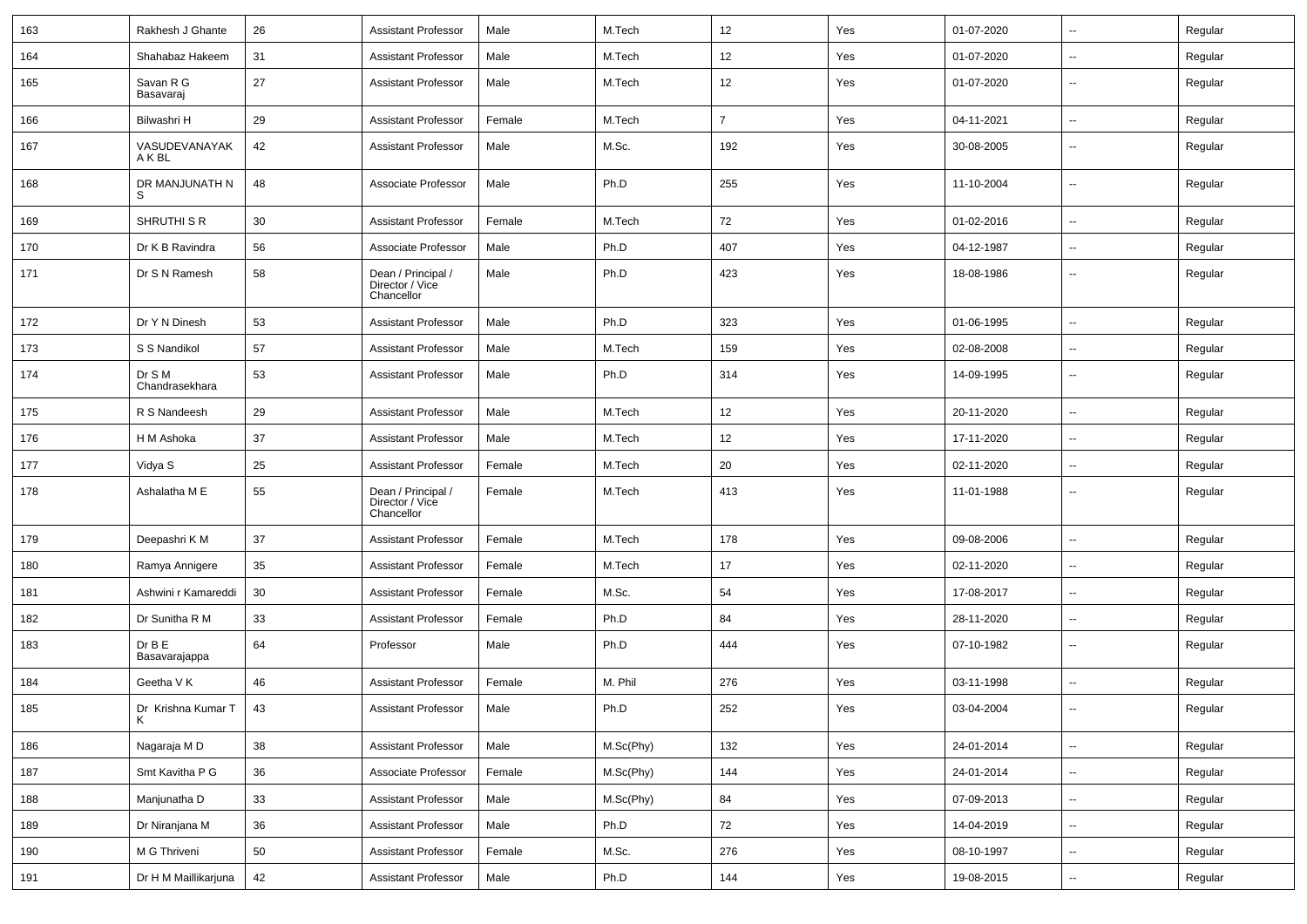| 163 | Rakhesh J Ghante         | 26 | <b>Assistant Professor</b>                          | Male   | M.Tech    | 12             | Yes | 01-07-2020 | $\overline{\phantom{a}}$ | Regular |
|-----|--------------------------|----|-----------------------------------------------------|--------|-----------|----------------|-----|------------|--------------------------|---------|
| 164 | Shahabaz Hakeem          | 31 | <b>Assistant Professor</b>                          | Male   | M.Tech    | 12             | Yes | 01-07-2020 | --                       | Regular |
| 165 | Savan R G<br>Basavaraj   | 27 | <b>Assistant Professor</b>                          | Male   | M.Tech    | 12             | Yes | 01-07-2020 | $\overline{\phantom{a}}$ | Regular |
| 166 | Bilwashri H              | 29 | <b>Assistant Professor</b>                          | Female | M.Tech    | $\overline{7}$ | Yes | 04-11-2021 | $\overline{\phantom{a}}$ | Regular |
| 167 | VASUDEVANAYAK<br>A K BL  | 42 | <b>Assistant Professor</b>                          | Male   | M.Sc.     | 192            | Yes | 30-08-2005 | --                       | Regular |
| 168 | DR MANJUNATH N<br>S.     | 48 | Associate Professor                                 | Male   | Ph.D      | 255            | Yes | 11-10-2004 | ⊷.                       | Regular |
| 169 | SHRUTHI S R              | 30 | <b>Assistant Professor</b>                          | Female | M.Tech    | 72             | Yes | 01-02-2016 | $\overline{\phantom{a}}$ | Regular |
| 170 | Dr K B Ravindra          | 56 | Associate Professor                                 | Male   | Ph.D      | 407            | Yes | 04-12-1987 | $\overline{\phantom{a}}$ | Regular |
| 171 | Dr S N Ramesh            | 58 | Dean / Principal /<br>Director / Vice<br>Chancellor | Male   | Ph.D      | 423            | Yes | 18-08-1986 | $\overline{\phantom{a}}$ | Regular |
| 172 | Dr Y N Dinesh            | 53 | <b>Assistant Professor</b>                          | Male   | Ph.D      | 323            | Yes | 01-06-1995 | --                       | Regular |
| 173 | S S Nandikol             | 57 | <b>Assistant Professor</b>                          | Male   | M.Tech    | 159            | Yes | 02-08-2008 | $\overline{\phantom{a}}$ | Regular |
| 174 | Dr S M<br>Chandrasekhara | 53 | <b>Assistant Professor</b>                          | Male   | Ph.D      | 314            | Yes | 14-09-1995 | ⊷.                       | Regular |
| 175 | R S Nandeesh             | 29 | <b>Assistant Professor</b>                          | Male   | M.Tech    | 12             | Yes | 20-11-2020 | $\sim$                   | Regular |
| 176 | H M Ashoka               | 37 | <b>Assistant Professor</b>                          | Male   | M.Tech    | 12             | Yes | 17-11-2020 |                          | Regular |
| 177 | Vidya S                  | 25 | <b>Assistant Professor</b>                          | Female | M.Tech    | 20             | Yes | 02-11-2020 | --                       | Regular |
| 178 | Ashalatha M E            | 55 | Dean / Principal /<br>Director / Vice<br>Chancellor | Female | M.Tech    | 413            | Yes | 11-01-1988 | --                       | Regular |
| 179 | Deepashri K M            | 37 | <b>Assistant Professor</b>                          | Female | M.Tech    | 178            | Yes | 09-08-2006 | --                       | Regular |
| 180 | Ramya Annigere           | 35 | <b>Assistant Professor</b>                          | Female | M.Tech    | 17             | Yes | 02-11-2020 | $\overline{\phantom{a}}$ | Regular |
| 181 | Ashwini r Kamareddi      | 30 | <b>Assistant Professor</b>                          | Female | M.Sc.     | 54             | Yes | 17-08-2017 | $\overline{\phantom{a}}$ | Regular |
| 182 | Dr Sunitha R M           | 33 | <b>Assistant Professor</b>                          | Female | Ph.D      | 84             | Yes | 28-11-2020 | $\overline{\phantom{a}}$ | Regular |
| 183 | Dr B E<br>Basavarajappa  | 64 | Professor                                           | Male   | Ph.D      | 444            | Yes | 07-10-1982 | $\sim$                   | Regular |
| 184 | Geetha V K               | 46 | <b>Assistant Professor</b>                          | Female | M. Phil   | 276            | Yes | 03-11-1998 | $\mathbf{u}$             | Regular |
| 185 | Dr Krishna Kumar T<br>Κ  | 43 | <b>Assistant Professor</b>                          | Male   | Ph.D      | 252            | Yes | 03-04-2004 | $\overline{\phantom{a}}$ | Regular |
| 186 | Nagaraja MD              | 38 | <b>Assistant Professor</b>                          | Male   | M.Sc(Phy) | 132            | Yes | 24-01-2014 | $\overline{\phantom{a}}$ | Regular |
| 187 | Smt Kavitha P G          | 36 | Associate Professor                                 | Female | M.Sc(Phy) | 144            | Yes | 24-01-2014 | $\sim$                   | Regular |
| 188 | Manjunatha D             | 33 | <b>Assistant Professor</b>                          | Male   | M.Sc(Phy) | 84             | Yes | 07-09-2013 | $\sim$                   | Regular |
| 189 | Dr Niranjana M           | 36 | Assistant Professor                                 | Male   | Ph.D      | 72             | Yes | 14-04-2019 | $\overline{\phantom{a}}$ | Regular |
| 190 | M G Thriveni             | 50 | Assistant Professor                                 | Female | M.Sc.     | 276            | Yes | 08-10-1997 | Ξ.                       | Regular |
| 191 | Dr H M Maillikarjuna     | 42 | Assistant Professor                                 | Male   | Ph.D      | 144            | Yes | 19-08-2015 | $\sim$                   | Regular |